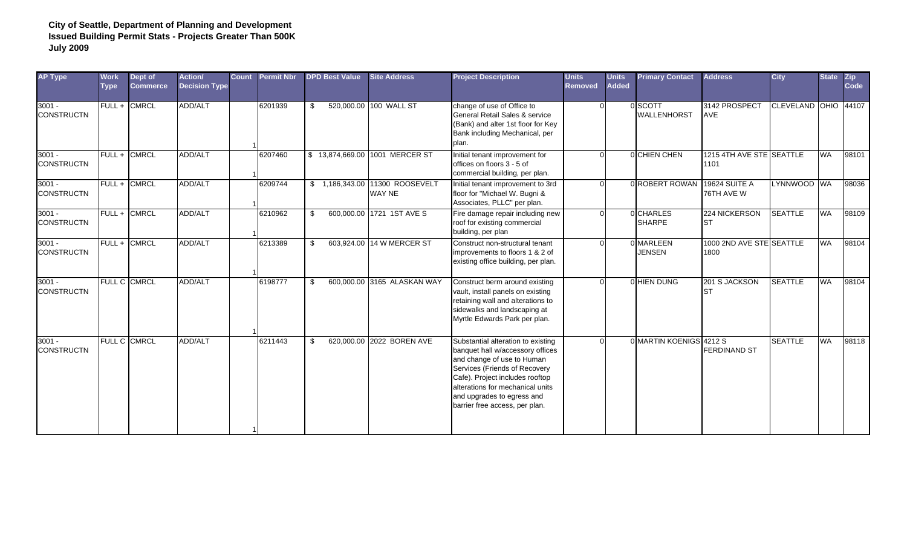| <b>AP Type</b>                | <b>Work</b><br><b>Type</b> | Dept of<br><b>Commerce</b> | Action/<br><b>Decision Type</b> | <b>Count</b> | <b>Permit Nbr</b> | <b>DPD Best Value</b> | <b>Site Address</b>                       | <b>Project Description</b>                                                                                                                                                                                                                                                   | <b>Units</b><br><b>Removed</b> | <b>Units</b><br><b>Added</b> | <b>Primary Contact</b>        | <b>Address</b>                     | <b>City</b>          | <b>State</b> | $\overline{zip}$<br>Code |
|-------------------------------|----------------------------|----------------------------|---------------------------------|--------------|-------------------|-----------------------|-------------------------------------------|------------------------------------------------------------------------------------------------------------------------------------------------------------------------------------------------------------------------------------------------------------------------------|--------------------------------|------------------------------|-------------------------------|------------------------------------|----------------------|--------------|--------------------------|
| $3001 -$<br><b>CONSTRUCTN</b> |                            | <b>FULL + CMRCL</b>        | <b>ADD/ALT</b>                  |              | 6201939           | -\$                   | 520,000.00 100 WALL ST                    | change of use of Office to<br>General Retail Sales & service<br>(Bank) and alter 1st floor for Key<br>Bank including Mechanical, per<br>plan.                                                                                                                                |                                |                              | 0 SCOTT<br><b>WALLENHORST</b> | 3142 PROSPECT<br>AVE               | CLEVELAND OHIO 44107 |              |                          |
| $3001 -$<br><b>CONSTRUCTN</b> |                            | FULL + CMRCL               | ADD/ALT                         |              | 6207460           |                       | \$13,874,669.00 1001 MERCER ST            | Initial tenant improvement for<br>offices on floors 3 - 5 of<br>commercial building, per plan.                                                                                                                                                                               |                                |                              | 0 CHIEN CHEN                  | 1215 4TH AVE STE SEATTLE<br>1101   |                      | <b>WA</b>    | 98101                    |
| $3001 -$<br><b>CONSTRUCTN</b> | FULL+                      | <b>CMRCL</b>               | ADD/ALT                         |              | 6209744           |                       | \$ 1,186,343.00 11300 ROOSEVELT<br>WAY NE | Initial tenant improvement to 3rd<br>floor for "Michael W. Bugni &<br>Associates, PLLC" per plan.                                                                                                                                                                            |                                |                              | 0 ROBERT ROWAN                | <b>19624 SUITE A</b><br>76TH AVE W | LYNNWOOD WA          |              | 98036                    |
| $3001 -$<br><b>CONSTRUCTN</b> |                            | FULL + CMRCL               | <b>ADD/ALT</b>                  |              | 6210962           | \$                    | 600,000.00 1721 1ST AVE S                 | Fire damage repair including new<br>roof for existing commercial<br>building, per plan                                                                                                                                                                                       |                                |                              | 0 CHARLES<br><b>SHARPE</b>    | 224 NICKERSON<br><b>ST</b>         | <b>SEATTLE</b>       | WA           | 98109                    |
| $3001 -$<br><b>CONSTRUCTN</b> |                            | FULL + CMRCL               | ADD/ALT                         |              | 6213389           | \$                    | 603,924.00 14 W MERCER ST                 | Construct non-structural tenant<br>improvements to floors 1 & 2 of<br>existing office building, per plan.                                                                                                                                                                    |                                |                              | 0 MARLEEN<br><b>JENSEN</b>    | 1000 2ND AVE STE SEATTLE<br>1800   |                      | <b>WA</b>    | 98104                    |
| $3001 -$<br><b>CONSTRUCTN</b> |                            | <b>FULL C CMRCL</b>        | ADD/ALT                         |              | 6198777           | - \$                  | 600,000.00 3165 ALASKAN WAY               | Construct berm around existing<br>vault, install panels on existing<br>retaining wall and alterations to<br>sidewalks and landscaping at<br>Myrtle Edwards Park per plan.                                                                                                    |                                |                              | 0 HIEN DUNG                   | 201 S JACKSON<br><b>ST</b>         | <b>SEATTLE</b>       | <b>WA</b>    | 98104                    |
| $3001 -$<br><b>CONSTRUCTN</b> |                            | <b>FULL C CMRCL</b>        | <b>ADD/ALT</b>                  |              | 6211443           | £.                    | 620,000,00 2022 BOREN AVE                 | Substantial alteration to existing<br>banquet hall w/accessory offices<br>and change of use to Human<br>Services (Friends of Recovery<br>Cafe). Project includes rooftop<br>alterations for mechanical units<br>and upgrades to egress and<br>barrier free access, per plan. |                                |                              | 0 MARTIN KOENIGS 4212 S       | <b>FERDINAND ST</b>                | <b>SEATTLE</b>       | <b>WA</b>    | 98118                    |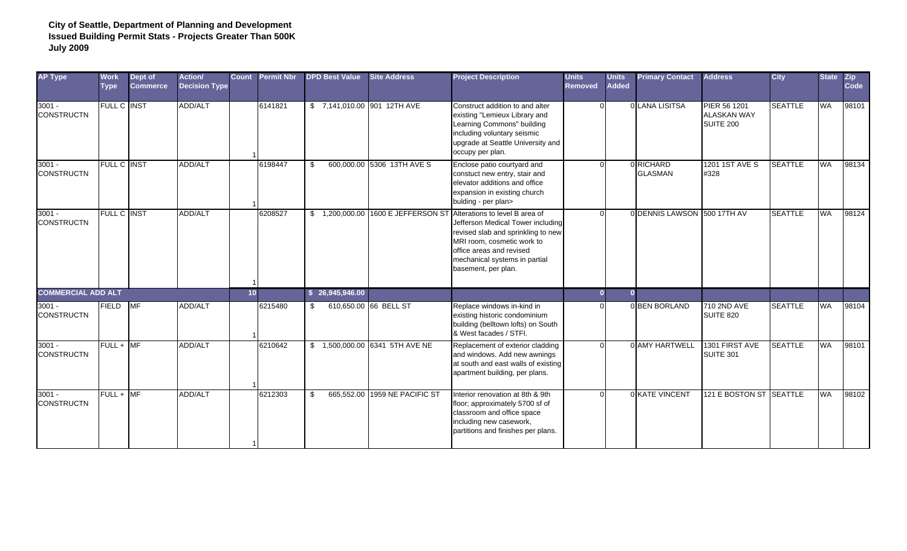| <b>AP Type</b>                | <b>Work</b><br><b>Type</b> | Dept of<br><b>Commerce</b> | Action/<br><b>Decision Type</b> | <b>Count</b>    | <b>Permit Nbr</b> | <b>DPD Best Value</b>       | <b>Site Address</b>                | <b>Project Description</b>                                                                                                                                                                                                  | <b>Units</b><br><b>Removed</b> | <b>Units</b><br><b>Added</b> | <b>Primary Contact</b>      | <b>Address</b>                                         | <b>City</b>    | <b>State</b> | <b>Zip</b><br>Code |
|-------------------------------|----------------------------|----------------------------|---------------------------------|-----------------|-------------------|-----------------------------|------------------------------------|-----------------------------------------------------------------------------------------------------------------------------------------------------------------------------------------------------------------------------|--------------------------------|------------------------------|-----------------------------|--------------------------------------------------------|----------------|--------------|--------------------|
| $3001 -$<br><b>CONSTRUCTN</b> | <b>FULL C INST</b>         |                            | ADD/ALT                         |                 | 6141821           | \$7,141,010.00 901 12TH AVE |                                    | Construct addition to and alter<br>existing "Lemieux Library and<br>Learning Commons" building<br>ncluding voluntary seismic<br>upgrade at Seattle University and<br>occupy per plan.                                       | $\Omega$                       |                              | 0 LANA LISITSA              | PIER 56 1201<br><b>ALASKAN WAY</b><br><b>SUITE 200</b> | <b>SEATTLE</b> | <b>WA</b>    | 98101              |
| $3001 -$<br><b>CONSTRUCTN</b> | FULL C IINST               |                            | ADD/ALT                         |                 | 6198447           | \$                          | 600.000.00 5306 13TH AVE S         | Enclose patio courtyard and<br>constuct new entry, stair and<br>elevator additions and office<br>expansion in existing church<br>bulding - per plan>                                                                        |                                |                              | 0 RICHARD<br><b>GLASMAN</b> | 1201 1ST AVE S<br>#328                                 | <b>SEATTLE</b> | <b>WA</b>    | 98134              |
| $3001 -$<br><b>CONSTRUCTN</b> | FULL C INST                |                            | ADD/ALT                         |                 | 6208527           |                             | \$1,200,000.00 1600 E JEFFERSON ST | Alterations to level B area of<br>Jefferson Medical Tower including<br>revised slab and sprinkling to new<br>MRI room, cosmetic work to<br>office areas and revised<br>mechanical systems in partial<br>basement, per plan. |                                |                              | 0 DENNIS LAWSON 500 17TH AV |                                                        | <b>SEATTLE</b> | <b>WA</b>    | 98124              |
| <b>COMMERCIAL ADD ALT</b>     |                            |                            |                                 | 10 <sub>1</sub> |                   | \$26,945,946.00             |                                    |                                                                                                                                                                                                                             |                                |                              |                             |                                                        |                |              |                    |
| $3001 -$<br><b>CONSTRUCTN</b> | <b>FIELD</b>               | <b>MF</b>                  | <b>ADD/ALT</b>                  |                 | 6215480           | \$                          | 610,650.00 66 BELL ST              | Replace windows in-kind in<br>existing historic condominium<br>building (belltown lofts) on South<br>& West facades / STFI.                                                                                                 |                                |                              | 0 BEN BORLAND               | 710 2ND AVE<br><b>SUITE 820</b>                        | <b>SEATTLE</b> | <b>WA</b>    | 98104              |
| $3001 -$<br><b>CONSTRUCTN</b> | $FULL + IMF$               |                            | ADD/ALT                         |                 | 6210642           |                             | \$ 1,500,000.00 6341 5TH AVE NE    | Replacement of exterior cladding<br>and windows. Add new awnings<br>at south and east walls of existing<br>apartment building, per plans.                                                                                   |                                |                              | 0 AMY HARTWELL              | 1301 FIRST AVE<br>SUITE 301                            | <b>SEATTLE</b> | <b>WA</b>    | 98101              |
| $3001 -$<br><b>CONSTRUCTN</b> | $FULL + MF$                |                            | ADD/ALT                         |                 | 6212303           |                             | 665.552.00 1959 NE PACIFIC ST      | Interior renovation at 8th & 9th<br>loor; approximately 5700 sf of<br>classroom and office space<br>including new casework,<br>partitions and finishes per plans.                                                           |                                |                              | 0 KATE VINCENT              | 121 E BOSTON ST SEATTLE                                |                | <b>WA</b>    | 98102              |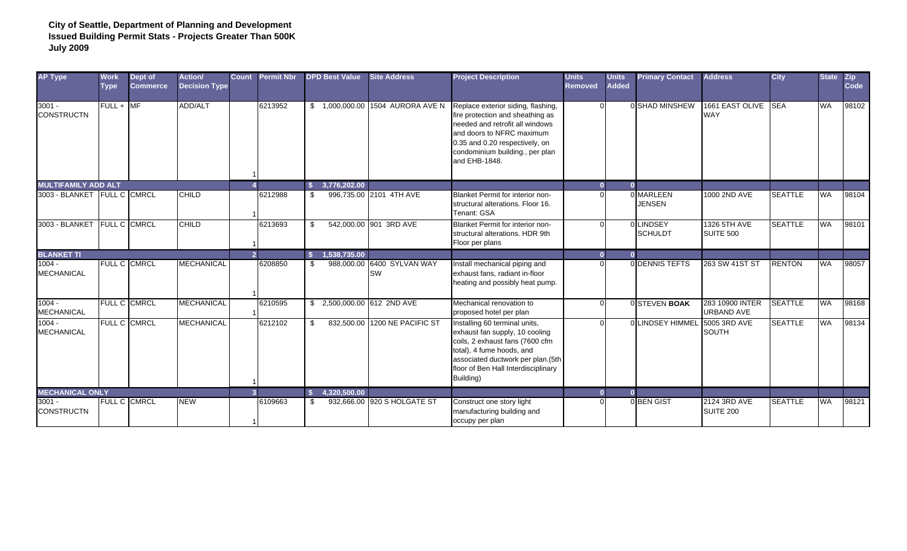| <b>AP Type</b>                | <b>Work</b><br><b>Type</b> | Dept of<br><b>Commerce</b> | Action/<br><b>Decision Type</b> | <b>Count</b>   | <b>Permit Nbr</b> | <b>DPD Best Value</b>              | <b>Site Address</b>                     | <b>Project Description</b>                                                                                                                                                                                                   | <b>Units</b><br><b>Removed</b> | <b>Units</b><br><b>Added</b> | <b>Primary Contact</b>     | <b>Address</b>                       | <b>City</b>    | <b>State</b> | <b>Zip</b><br>Code |
|-------------------------------|----------------------------|----------------------------|---------------------------------|----------------|-------------------|------------------------------------|-----------------------------------------|------------------------------------------------------------------------------------------------------------------------------------------------------------------------------------------------------------------------------|--------------------------------|------------------------------|----------------------------|--------------------------------------|----------------|--------------|--------------------|
| $3001 -$<br><b>CONSTRUCTN</b> | $FULL + M F$               |                            | ADD/ALT                         |                | 6213952           |                                    | \$1,000,000.00 1504 AURORA AVE N        | Replace exterior siding, flashing,<br>fire protection and sheathing as<br>needed and retrofit all windows<br>and doors to NFRC maximum<br>0.35 and 0.20 respectively, on<br>condominium building., per plan<br>and EHB-1848. |                                |                              | 0 SHAD MINSHEW             | 1661 EAST OLIVE<br><b>WAY</b>        | <b>SEA</b>     | <b>WA</b>    | 98102              |
| <b>MULTIFAMILY ADD ALT</b>    |                            |                            |                                 |                |                   | 3,776,202.00<br>-S                 |                                         |                                                                                                                                                                                                                              |                                |                              |                            |                                      |                |              |                    |
| 3003 - BLANKET FULL C CMRCL   |                            |                            | <b>CHILD</b>                    |                | 6212988           | \$                                 | 996,735.00 2101 4TH AVE                 | Blanket Permit for interior non-<br>structural alterations. Floor 16.<br>Tenant: GSA                                                                                                                                         |                                |                              | 0 MARLEEN<br><b>JENSEN</b> | 1000 2ND AVE                         | <b>SEATTLE</b> | <b>WA</b>    | 98104              |
| 3003 - BLANKET                | <b>FULL C CMRCL</b>        |                            | <b>CHILD</b>                    |                | 6213693           | -\$                                | 542,000.00 901 3RD AVE                  | Blanket Permit for interior non-<br>structural alterations. HDR 9th<br>Floor per plans                                                                                                                                       |                                |                              | LINDSEY<br><b>SCHULDT</b>  | 1326 5TH AVE<br>SUITE 500            | <b>SEATTLE</b> | <b>WA</b>    | 98101              |
| <b>BLANKET TI</b>             |                            |                            |                                 | $\overline{2}$ |                   | 1,538,735.00<br>$\mathbf{\hat{s}}$ |                                         |                                                                                                                                                                                                                              |                                | $\mathbf{a}$                 |                            |                                      |                |              |                    |
| $1004 -$<br><b>MECHANICAL</b> | FULL C CMRCL               |                            | <b>MECHANICAL</b>               |                | 6208850           | -\$                                | 988,000.00 6400 SYLVAN WAY<br><b>SW</b> | Install mechanical piping and<br>exhaust fans, radiant in-floor<br>heating and possibly heat pump.                                                                                                                           |                                |                              | 0 DENNIS TEFTS             | 263 SW 41ST ST                       | <b>RENTON</b>  | <b>WA</b>    | 98057              |
| $1004 -$<br><b>MECHANICAL</b> |                            | FULL C CMRCL               | <b>MECHANICAL</b>               |                | 6210595           | 2,500,000.00 612 2ND AVE<br>S.     |                                         | Mechanical renovation to<br>proposed hotel per plan                                                                                                                                                                          |                                |                              | 0 STEVEN BOAK              | 283 10900 INTER<br><b>URBAND AVE</b> | <b>SEATTLE</b> | <b>WA</b>    | 98168              |
| $1004 -$<br><b>MECHANICAL</b> |                            | <b>FULL C CMRCL</b>        | <b>MECHANICAL</b>               |                | 6212102           | - \$                               | 832,500.00 1200 NE PACIFIC ST           | Installing 60 terminal units,<br>exhaust fan supply, 10 cooling<br>coils, 2 exhaust fans (7600 cfm<br>total), 4 fume hoods, and<br>associated ductwork per plan.(5th<br>floor of Ben Hall Interdisciplinary<br>Building)     |                                |                              | <b>LINDSEY HIMMEL</b>      | 5005 3RD AVE<br><b>SOUTH</b>         | <b>SEATTLE</b> | <b>WA</b>    | 98134              |
| <b>MECHANICAL ONLY</b>        |                            |                            |                                 | $\mathbf{R}$   |                   | 4.320.500.00<br>-S                 |                                         |                                                                                                                                                                                                                              |                                |                              |                            |                                      |                |              |                    |
| $3001 -$<br><b>CONSTRUCTN</b> |                            | <b>FULL C CMRCL</b>        | <b>NEW</b>                      |                | 6109663           | -\$                                | 932,666.00 920 S HOLGATE ST             | Construct one story light<br>manufacturing building and<br>occupy per plan                                                                                                                                                   |                                |                              | 0BEN GIST                  | 2124 3RD AVE<br>SUITE 200            | <b>SEATTLE</b> | <b>WA</b>    | 98121              |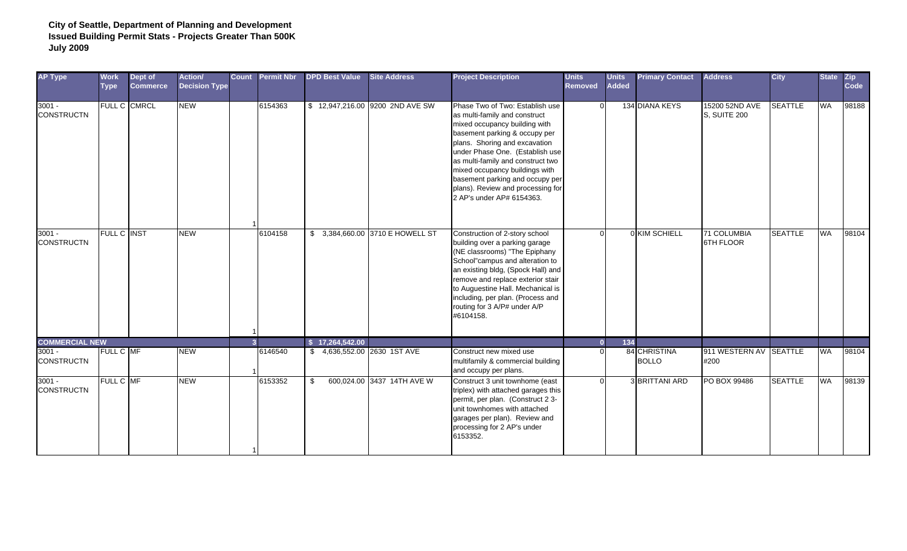| <b>AP Type</b>                | <b>Work</b><br><b>Type</b> | Dept of<br><b>Commerce</b> | Action/<br><b>Decision Type</b> | <b>Count</b> | <b>Permit Nbr</b> | <b>DPD Best Value</b>       | <b>Site Address</b>              | <b>Project Description</b>                                                                                                                                                                                                                                                                                                                                                         | <b>Units</b><br><b>Removed</b> | <b>Units</b><br><b>Added</b> | <b>Primary Contact</b>       | <b>Address</b>                 | <b>City</b>    | <b>State</b> | <b>Zip</b><br>Code |
|-------------------------------|----------------------------|----------------------------|---------------------------------|--------------|-------------------|-----------------------------|----------------------------------|------------------------------------------------------------------------------------------------------------------------------------------------------------------------------------------------------------------------------------------------------------------------------------------------------------------------------------------------------------------------------------|--------------------------------|------------------------------|------------------------------|--------------------------------|----------------|--------------|--------------------|
| $3001 -$<br><b>CONSTRUCTN</b> | FULL C CMRCL               |                            | <b>NEW</b>                      |              | 6154363           |                             | \$12,947,216.00 9200 2ND AVE SW  | Phase Two of Two: Establish use<br>as multi-family and construct<br>mixed occupancy building with<br>basement parking & occupy per<br>plans. Shoring and excavation<br>under Phase One. (Establish use<br>as multi-family and construct two<br>mixed occupancy buildings with<br>basement parking and occupy per<br>plans). Review and processing for<br>2 AP's under AP# 6154363. | $\Omega$                       |                              | 134 DIANA KEYS               | 15200 52ND AVE<br>S, SUITE 200 | <b>SEATTLE</b> | <b>WA</b>    | 98188              |
| $3001 -$<br><b>CONSTRUCTN</b> | <b>FULL C INST</b>         |                            | <b>NEW</b>                      |              | 6104158           |                             | \$ 3,384,660.00 3710 E HOWELL ST | Construction of 2-story school<br>building over a parking garage<br>(NE classrooms) "The Epiphany<br>School"campus and alteration to<br>an existing bldg, (Spock Hall) and<br>remove and replace exterior stair<br>to Auguestine Hall. Mechanical is<br>including, per plan. (Process and<br>routing for 3 A/P# under A/P<br>#6104158.                                             |                                |                              | 0 KIM SCHIELL                | 71 COLUMBIA<br>6TH FLOOR       | <b>SEATTLE</b> | <b>WA</b>    | 98104              |
| <b>COMMERCIAL NEW</b>         |                            |                            |                                 | $\mathbf{R}$ |                   | \$17,264,542.00             |                                  |                                                                                                                                                                                                                                                                                                                                                                                    | $\Omega$                       | 134                          |                              |                                |                |              |                    |
| $3001 -$<br><b>CONSTRUCTN</b> | FULL C MF                  |                            | <b>NEW</b>                      |              | 6146540           | \$4,636,552.00 2630 1ST AVE |                                  | Construct new mixed use<br>multifamily & commercial building<br>and occupy per plans.                                                                                                                                                                                                                                                                                              |                                |                              | 84 CHRISTINA<br><b>BOLLO</b> | 911 WESTERN AV SEATTLE<br>#200 |                | <b>WA</b>    | 98104              |
| $3001 -$<br><b>CONSTRUCTN</b> | <b>FULL C MF</b>           |                            | <b>NEW</b>                      |              | 6153352           | \$                          | 600,024.00 3437 14TH AVE W       | Construct 3 unit townhome (east<br>triplex) with attached garages this<br>permit, per plan. (Construct 2 3-<br>unit townhomes with attached<br>garages per plan). Review and<br>processing for 2 AP's under<br>6153352.                                                                                                                                                            |                                |                              | 3 BRITTANI ARD               | PO BOX 99486                   | <b>SEATTLE</b> | <b>WA</b>    | 98139              |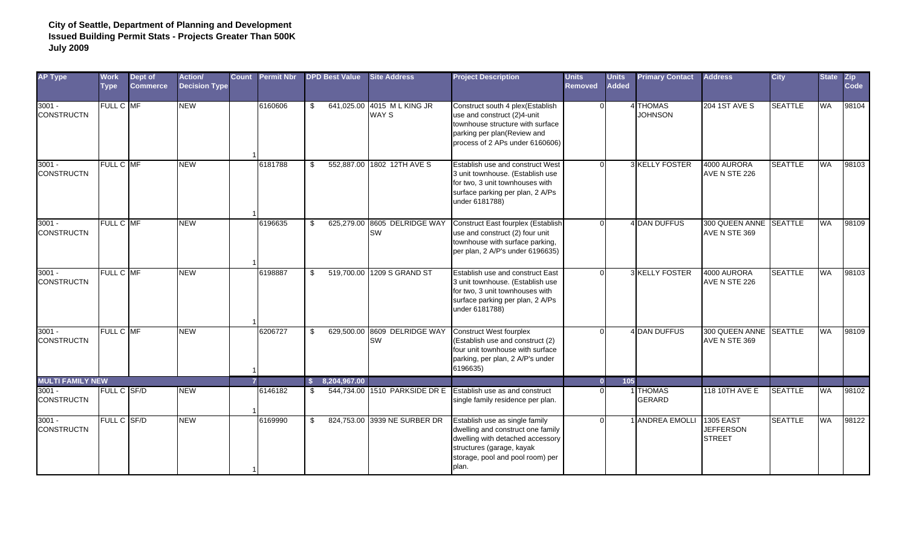| <b>AP Type</b>                | <b>Work</b><br><b>Type</b> | Dept of<br><b>Commerce</b> | <b>Action/</b><br><b>Decision Type</b> | <b>Count</b> | <b>Permit Nbr</b> |     | <b>DPD Best Value</b> | <b>Site Address</b>                       | <b>Project Description</b>                                                                                                                                                        | <b>Units</b><br><b>Removed</b> | <b>Units</b><br><b>Added</b> | <b>Primary Contact</b>          | <b>Address</b>                                        | <b>City</b>    | <b>State</b> | Zip<br>Code |
|-------------------------------|----------------------------|----------------------------|----------------------------------------|--------------|-------------------|-----|-----------------------|-------------------------------------------|-----------------------------------------------------------------------------------------------------------------------------------------------------------------------------------|--------------------------------|------------------------------|---------------------------------|-------------------------------------------------------|----------------|--------------|-------------|
| $3001 -$<br><b>CONSTRUCTN</b> | FULL C MF                  |                            | <b>NEW</b>                             |              | 6160606           | -S  |                       | 641,025.00 4015 M L KING JR<br>WAY S      | Construct south 4 plex(Establish<br>use and construct (2)4-unit<br>townhouse structure with surface<br>parking per plan(Review and<br>process of 2 APs under 6160606)             |                                |                              | <b>THOMAS</b><br><b>JOHNSON</b> | <b>204 1ST AVE S</b>                                  | <b>SEATTLE</b> | WA           | 98104       |
| $3001 -$<br><b>CONSTRUCTN</b> | FULL C MF                  |                            | <b>NEW</b>                             |              | 6181788           | \$. |                       | 552,887.00 1802 12TH AVE S                | Establish use and construct West<br>3 unit townhouse. (Establish use<br>for two, 3 unit townhouses with<br>surface parking per plan, 2 A/Ps<br>under 6181788)                     |                                |                              | 3 KELLY FOSTER                  | 4000 AURORA<br>AVE N STE 226                          | <b>SEATTLE</b> | WA           | 98103       |
| $3001 -$<br><b>CONSTRUCTN</b> | FULL C MF                  |                            | <b>NEW</b>                             |              | 6196635           |     |                       | 625,279.00 8605 DELRIDGE WAY<br>SW        | Construct East fourplex (Establish<br>use and construct (2) four unit<br>townhouse with surface parking,<br>per plan, 2 A/P's under 6196635)                                      |                                |                              | <b>I DAN DUFFUS</b>             | 300 QUEEN ANNE SEATTLE<br>AVE N STE 369               |                | <b>WA</b>    | 98109       |
| $3001 -$<br><b>CONSTRUCTN</b> | FULL C MF                  |                            | <b>NEW</b>                             |              | 6198887           |     |                       | 519,700.00 1209 S GRAND ST                | Establish use and construct East<br>3 unit townhouse. (Establish use<br>for two, 3 unit townhouses with<br>surface parking per plan, 2 A/Ps<br>under 6181788)                     |                                |                              | 3 KELLY FOSTER                  | 4000 AURORA<br>AVE N STE 226                          | <b>SEATTLE</b> | <b>AW</b>    | 98103       |
| $3001 -$<br><b>CONSTRUCTN</b> | FULL C MF                  |                            | <b>NEW</b>                             |              | 6206727           |     |                       | 629,500.00 8609 DELRIDGE WAY<br><b>SW</b> | <b>Construct West fourplex</b><br>(Establish use and construct (2)<br>four unit townhouse with surface<br>parking, per plan, 2 A/P's under<br>6196635)                            |                                |                              | <b>DAN DUFFUS</b>               | 300 QUEEN ANNE SEATTLE<br>AVE N STE 369               |                | <b>WA</b>    | 98109       |
| <b>MULTI FAMILY NEW</b>       |                            |                            |                                        |              |                   |     | 8,204,967.00          |                                           |                                                                                                                                                                                   |                                | 105                          |                                 |                                                       |                |              |             |
| $3001 -$<br><b>CONSTRUCTN</b> | FULL C SF/D                |                            | <b>NEW</b>                             |              | 6146182           |     |                       | 544,734.00 1510 PARKSIDE DR E             | Establish use as and construct<br>single family residence per plan.                                                                                                               |                                |                              | <b>THOMAS</b><br>GERARD         | 118 10TH AVE E                                        | <b>SEATTLE</b> | <b>WA</b>    | 98102       |
| $3001 -$<br><b>CONSTRUCTN</b> | FULL C SF/D                |                            | <b>NEW</b>                             |              | 6169990           | -S  |                       | 824,753.00 3939 NE SURBER DR              | Establish use as single family<br>dwelling and construct one family<br>dwelling with detached accessory<br>structures (garage, kayak<br>storage, pool and pool room) per<br>plan. |                                |                              | 1 ANDREA EMOLLI                 | <b>1305 EAST</b><br><b>JEFFERSON</b><br><b>STREET</b> | <b>SEATTLE</b> | <b>WA</b>    | 98122       |